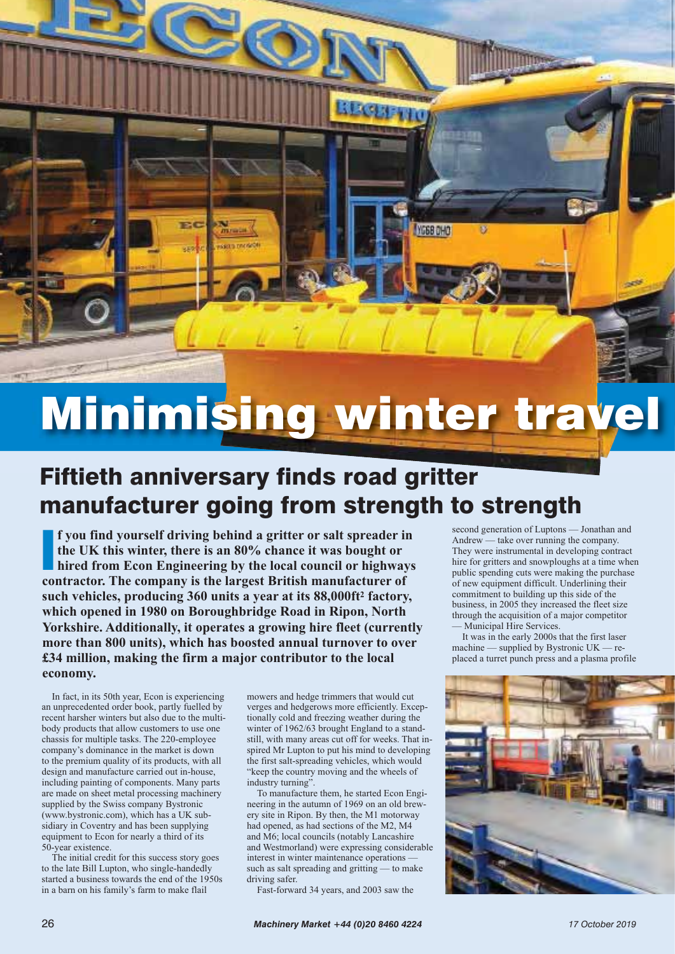## Minimising winds wood artification and the contract of the contract of the contract of the contract of the contract of the contract of the contract of the contract of the contract of the contract of the contract of the con

**YG68 DHO** 

## Fiftieth anniversary finds road gritter manufacturer going from strength to strength

**f** you find yourself driving behind a gritter or salt spreader if the UK this winter, there is an 80% chance it was bought or hired from Econ Engineering by the local council or highway contractor. The company is the larg **f you find yourself driving behind a gritter or salt spreader in the UK this winter, there is an 80% chance it was bought or hired from Econ Engineering by the local council or highways such vehicles, producing 360 units a year at its 88,000ft2 factory, which opened in 1980 on Boroughbridge Road in Ripon, North Yorkshire. Additionally, it operates a growing hire fleet (currently more than 800 units), which has boosted annual turnover to over £34 million, making the firm a major contributor to the local economy.** 

In fact, in its 50th year, Econ is experiencing an unprecedented order book, partly fuelled by recent harsher winters but also due to the multibody products that allow customers to use one chassis for multiple tasks. The 220-employee company's dominance in the market is down to the premium quality of its products, with all design and manufacture carried out in-house, including painting of components. Many parts are made on sheet metal processing machinery supplied by the Swiss company Bystronic (www.bystronic.com), which has a UK subsidiary in Coventry and has been supplying equipment to Econ for nearly a third of its 50-year existence.

The initial credit for this success story goes to the late Bill Lupton, who single-handedly started a business towards the end of the 1950s in a barn on his family's farm to make flail

mowers and hedge trimmers that would cut verges and hedgerows more efficiently. Exceptionally cold and freezing weather during the winter of 1962/63 brought England to a standstill, with many areas cut off for weeks. That inspired Mr Lupton to put his mind to developing the first salt-spreading vehicles, which would "keep the country moving and the wheels of industry turning".

To manufacture them, he started Econ Engineering in the autumn of 1969 on an old brewery site in Ripon. By then, the M1 motorway had opened, as had sections of the M2, M4 and M6; local councils (notably Lancashire and Westmorland) were expressing considerable interest in winter maintenance operations such as salt spreading and gritting — to make driving safer.

Fast-forward 34 years, and 2003 saw the

second generation of Luptons — Jonathan and Andrew — take over running the company. They were instrumental in developing contract hire for gritters and snowploughs at a time when public spending cuts were making the purchase of new equipment difficult. Underlining their commitment to building up this side of the business, in 2005 they increased the fleet size through the acquisition of a major competitor — Municipal Hire Services.

It was in the early 2000s that the first laser machine — supplied by Bystronic UK — replaced a turret punch press and a plasma profile